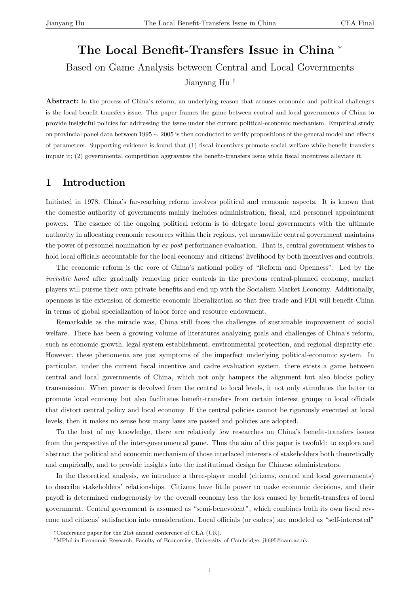# The Local Benefit-Transfers Issue in China <sup>∗</sup> Based on Game Analysis between Central and Local Governments Jianyang Hu †

Abstract: In the process of China's reform, an underlying reason that arouses economic and political challenges is the local benefit-transfers issue. This paper frames the game between central and local governments of China to provide insightful policies for addressing the issue under the current political-economic mechanism. Empirical study on provincial panel data between 1995 ∼ 2005 is then conducted to verify propositions of the general model and effects of parameters. Supporting evidence is found that (1) fiscal incentives promote social welfare while benefit-transfers impair it; (2) governmental competition aggravates the benefit-transfers issue while fiscal incentives alleviate it.

## 1 Introduction

Initiated in 1978, China's far-reaching reform involves political and economic aspects. It is known that the domestic authority of governments mainly includes administration, fiscal, and personnel appointment powers. The essence of the ongoing political reform is to delegate local governments with the ultimate authority in allocating economic resources within their regions, yet meanwhile central government maintains the power of personnel nomination by ex post performance evaluation. That is, central government wishes to hold local officials accountable for the local economy and citizens' livelihood by both incentives and controls.

The economic reform is the core of China's national policy of "Reform and Openness". Led by the invisible hand after gradually removing price controls in the previous central-planned economy, market players will pursue their own private benefits and end up with the Socialism Market Economy. Additionally, openness is the extension of domestic economic liberalization so that free trade and FDI will benefit China in terms of global specialization of labor force and resource endowment.

Remarkable as the miracle was, China still faces the challenges of sustainable improvement of social welfare. There has been a growing volume of literatures analyzing goals and challenges of China's reform, such as economic growth, legal system establishment, environmental protection, and regional disparity etc. However, these phenomena are just symptoms of the imperfect underlying political-economic system. In particular, under the current fiscal incentive and cadre evaluation system, there exists a game between central and local governments of China, which not only hampers the alignment but also blocks policy transmission. When power is devolved from the central to local levels, it not only stimulates the latter to promote local economy but also facilitates benefit-transfers from certain interest groups to local officials that distort central policy and local economy. If the central policies cannot be rigorously executed at local levels, then it makes no sense how many laws are passed and policies are adopted.

To the best of my knowledge, there are relatively few researches on China's benefit-transfers issues from the perspective of the inter-governmental game. Thus the aim of this paper is twofold: to explore and abstract the political and economic mechanism of those interlaced interests of stakeholders both theoretically and empirically, and to provide insights into the institutional design for Chinese administrators.

In the theoretical analysis, we introduce a three-player model (citizens, central and local governments) to describe stakeholders' relationships. Citizens have little power to make economic decisions, and their payoff is determined endogenously by the overall economy less the loss caused by benefit-transfers of local government. Central government is assumed as "semi-benevolent", which combines both its own fiscal revenue and citizens' satisfaction into consideration. Local officials (or cadres) are modeled as "self-interested"

<sup>∗</sup>Conference paper for the 21st annual conference of CEA (UK).

<sup>†</sup>MPhil in Economic Research, Faculty of Economics, University of Cambridge, jh695@cam.ac.uk.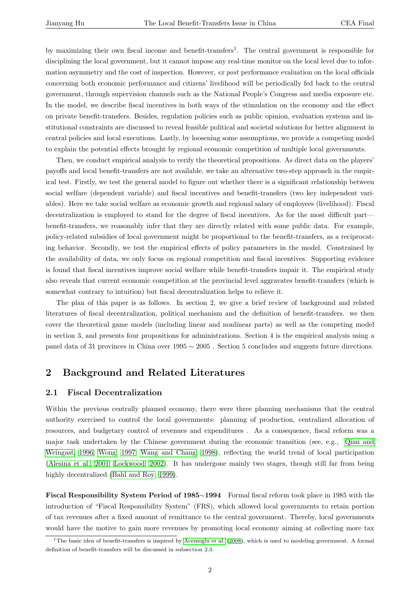by maximizing their own fiscal income and benefit-transfers<sup>1</sup>. The central government is responsible for disciplining the local government, but it cannot impose any real-time monitor on the local level due to information asymmetry and the cost of inspection. However, ex post performance evaluation on the local officials concerning both economic performance and citizens' livelihood will be periodically fed back to the central government, through supervision channels such as the National People's Congress and media exposure etc. In the model, we describe fiscal incentives in both ways of the stimulation on the economy and the effect on private benefit-transfers. Besides, regulation policies such as public opinion, evaluation systems and institutional constraints are discussed to reveal feasible political and societal solutions for better alignment in central policies and local executions. Lastly, by loosening some assumptions, we provide a competing model to explain the potential effects brought by regional economic competition of multiple local governments.

Then, we conduct empirical analysis to verify the theoretical propositions. As direct data on the players' payoffs and local benefit-transfers are not available, we take an alternative two-step approach in the empirical test. Firstly, we test the general model to figure out whether there is a significant relationship between social welfare (dependent variable) and fiscal incentives and benefit-transfers (two key independent variables). Here we take social welfare as economic growth and regional salary of employees (livelihood). Fiscal decentralization is employed to stand for the degree of fiscal incentives. As for the most difficult part benefit-transfers, we reasonably infer that they are directly related with some public data. For example, policy-related subsidies of local government might be proportional to the benefit-transfers, as a reciprocating behavior. Secondly, we test the empirical effects of policy parameters in the model. Constrained by the availability of data, we only focus on regional competition and fiscal incentives. Supporting evidence is found that fiscal incentives improve social welfare while benefit-transfers impair it. The empirical study also reveals that current economic competition at the provincial level aggravates benefit-transfers (which is somewhat contrary to intuition) but fiscal decentralization helps to relieve it.

The plan of this paper is as follows. In section 2, we give a brief review of background and related literatures of fiscal decentralization, political mechanism and the definition of benefit-transfers. we then cover the theoretical game models (including linear and nonlinear parts) as well as the competing model in section 3, and presents four propositions for administrations. Section 4 is the empirical analysis using a panel data of 31 provinces in China over 1995 ∼ 2005 . Section 5 concludes and suggests future directions.

### 2 Background and Related Literatures

#### 2.1 Fiscal Decentralization

Within the previous centrally planned economy, there were three planning mechanisms that the central authority exercised to control the local governments: planning of production, centralized allocation of resources, and budgetary control of revenues and expenditures . As a consequence, fiscal reform was a major task undertaken by the Chinese government during the economic transition (see, e.g., Qian and Weingast, 1996; Wong, 1997; Wang and Chang, 1998), reflecting the world trend of local participation (Alesina et al., 2001; Lockwood, 2002). It has undergone mainly two stages, though still far from being highly decentralized (Bahl and Roy, 1999).

[Fiscal Responsibili](#page-12-0)[ty System Period of 1985](#page-14-0)∼1994 Formal fiscal reform took place in 1985 with the introduction of "Fisc[al Responsibility Sys](#page-12-0)tem" (FRS), which allowed local governments to retain portion of tax revenues after a fixed amount of remittance to the central government. Thereby, local governments would have the motive to gain more revenues by promoting local economy aiming at collecting more tax

<sup>&</sup>lt;sup>1</sup>The basic idea of benefit-transfers is inspired by Acemoglu et al. (2008), which is used to modeling government. A formal definition of benefit-transfers will be discussed in subsection 2.3.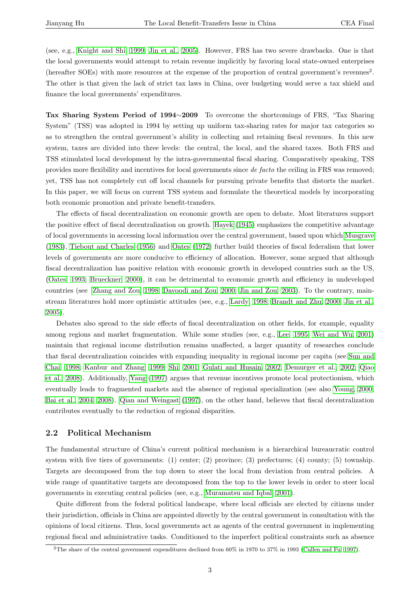(see, e.g., Knight and Shi, 1999; Jin et al., 2005). However, FRS has two severe drawbacks. One is that the local governments would attempt to retain revenue implicitly by favoring local state-owned enterprises (hereafter SOEs) with more resources at the expense of the proportion of central government's revenues<sup>2</sup>. The other [is that given the lack](#page-14-0) [of strict tax law](#page-13-0)s in China, over budgeting would serve a tax shield and finance the local governments' expenditures.

Tax Sharing System Period of 1994∼2009 To overcome the shortcomings of FRS, "Tax Sharing System" (TSS) was adopted in 1994 by setting up uniform tax-sharing rates for major tax categories so as to strengthen the central government's ability in collecting and retaining fiscal revenues. In this new system, taxes are divided into three levels: the central, the local, and the shared taxes. Both FRS and TSS stimulated local development by the intra-governmental fiscal sharing. Comparatively speaking, TSS provides more flexibility and incentives for local governments since de facto the ceiling in FRS was removed; yet, TSS has not completely cut off local channels for pursuing private benefits that distorts the market. In this paper, we will focus on current TSS system and formulate the theoretical models by incorporating both economic promotion and private benefit-transfers.

The effects of fiscal decentralization on economic growth are open to debate. Most literatures support the positive effect of fiscal decentralization on growth. Hayek (1945) emphasizes the competitive advantage of local governments in accessing local information over the central government, based upon which Musgrave (1983), Tiebout and Charles (1956) and Oates (1972) further build theories of fiscal federalism that lower levels of governments are more conducive to efficiency [of allocation](#page-13-0). However, some argued that although fiscal decentralization has positive relation with economic growth in developed countries such [as the US,](#page-14-0) [\(Oates](#page-14-0), 1993; [Brueckner,](#page-14-0) 200[0\), it](#page-14-0) can [be detr](#page-14-0)i[menta](#page-14-0)l to economic growth and efficiency in undeveloped countries (see Zhang and Zou, 1998; Davoodi and Zou, 2000; Jin and Zou, 2003). To the contrary, mainstream literatures hold more optimistic attitudes (see, e.g., Lardy, 1998; Brandt and Zhu, 2000; Jin et al., [2005\).](#page-14-0)

Debates al[so spread to the side e](#page-15-0)[ffects of fiscal decentralization on other fiel](#page-13-0)ds, for example, equality among regions and market fragmentation. While some st[udies \(see, e.g](#page-14-0)., Lee, [1995;](#page-13-0) Wei [and](#page-13-0) Wu, [2001\)](#page-13-0) [main](#page-13-0)tain that regional income distribution remains unaffected, a larger quantity of researches conclude that fiscal decentralization coincides with expanding inequality in regional income per capita (see Sun and Chai, 1998; Kanbur and Zhang, 1999; Shi, 2001; Gulati and Husain, 200[2;](#page-14-0) D[emurg](#page-14-0)[er et al.,](#page-15-0) 2002; [Qiao](#page-15-0) et al., 2008). Additionally, Yang (1997) argues that revenue incentives promote local protectionism, which eventually leads to fragmented markets and the absence of regional specialization (see also Young, [2000;](#page-14-0) [Bai e](#page-14-0)t [al.,](#page-14-0) 2004, 2008). [Qian and Wein](#page-13-0)[gast](#page-14-0) [\(1997](#page-14-0))[, on the other hand, believes that fiscal decentraliz](#page-13-0)[ation](#page-14-0) [contributes](#page-14-0) eventually to t[he reduction](#page-15-0) of regional disparities.

#### [2.2 Political M](#page-12-0)e[chanism](#page-14-0)

The fundamental structure of China's current political mechanism is a hierarchical bureaucratic control system with five tiers of governments: (1) center; (2) province; (3) prefectures; (4) county; (5) township. Targets are decomposed from the top down to steer the local from deviation from central policies. A wide range of quantitative targets are decomposed from the top to the lower levels in order to steer local governments in executing central policies (see, e.g., Muramatsu and Iqbal, 2001).

Quite different from the federal political landscape, where local officials are elected by citizens under their jurisdiction, officials in China are appointed directly by the central government in consultation with the opinions of local citizens. Thus, local governments [act as agents of the central go](#page-14-0)vernment in implementing regional fiscal and administrative tasks. Conditioned to the imperfect political constraints such as absence

<sup>&</sup>lt;sup>2</sup>The share of the central government expenditures declined from  $60\%$  in 1970 to 37% in 1993 (Cullen and Fu, 1997).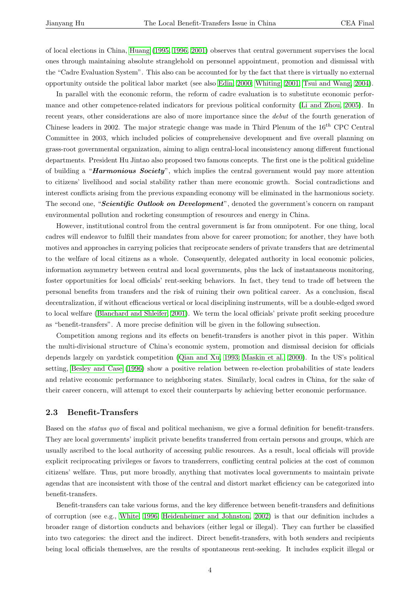of local elections in China, Huang (1995, 1996, 2001) observes that central government supervises the local ones through maintaining absolute stranglehold on personnel appointment, promotion and dismissal with the "Cadre Evaluation System". This also can be accounted for by the fact that there is virtually no external opportunity outside the po[litical labor market \(see a](#page-13-0)lso Edin, 2000; Whiting, 2001; Tsui and Wang, 2004).

In parallel with the economic reform, the reform of cadre evaluation is to substitute economic performance and other competence-related indicators for previous political conformity (Li and Zhou, 2005). In recent years, other considerations are also of more imp[ortance sinc](#page-13-0)[e the](#page-15-0) *debut* [of](#page-15-0) t[he fourth generation o](#page-14-0)f Chinese leaders in 2002. The major strategic change was made in Third Plenum of the  $16^{th}$  CPC Central Committee in 2003, which included policies of comprehensive development and [five overall p](#page-14-0)l[annin](#page-14-0)g on grass-root governmental organization, aiming to align central-local inconsistency among different functional departments. President Hu Jintao also proposed two famous concepts. The first one is the political guideline of building a "Harmonious Society", which implies the central government would pay more attention to citizens' livelihood and social stability rather than mere economic growth. Social contradictions and interest conflicts arising from the previous expanding economy will be eliminated in the harmonious society. The second one, "Scientific Outlook on Development", denoted the government's concern on rampant environmental pollution and rocketing consumption of resources and energy in China.

However, institutional control from the central government is far from omnipotent. For one thing, local cadres will endeavor to fulfill their mandates from above for career promotion; for another, they have both motives and approaches in carrying policies that reciprocate senders of private transfers that are detrimental to the welfare of local citizens as a whole. Consequently, delegated authority in local economic policies, information asymmetry between central and local governments, plus the lack of instantaneous monitoring, foster opportunities for local officials' rent-seeking behaviors. In fact, they tend to trade off between the personal benefits from transfers and the risk of ruining their own political career. As a conclusion, fiscal decentralization, if without efficacious vertical or local disciplining instruments, will be a double-edged sword to local welfare (Blanchard and Shleifer, 2001). We term the local officials' private profit seeking procedure as "benefit-transfers". A more precise definition will be given in the following subsection.

Competition among regions and its effects on benefit-transfers is another pivot in this paper. Within the multi-divisi[onal structure of China's econ](#page-13-0)omic system, promotion and dismissal decision for officials depends largely on yardstick competition (Qian and Xu, 1993; Maskin et al., 2000). In the US's political setting, Besley and Case (1996) show a positive relation between re-election probabilities of state leaders and relative economic performance to neighboring states. Similarly, local cadres in China, for the sake of their career concern, will attempt to excel [their counterparts by achieving better eco](#page-14-0)nomic performance.

#### 2.3 [Benefit-Trans](#page-13-0)fers

Based on the status quo of fiscal and political mechanism, we give a formal definition for benefit-transfers. They are local governments' implicit private benefits transferred from certain persons and groups, which are usually ascribed to the local authority of accessing public resources. As a result, local officials will provide explicit reciprocating privileges or favors to transferrers, conflicting central policies at the cost of common citizens' welfare. Thus, put more broadly, anything that motivates local governments to maintain private agendas that are inconsistent with those of the central and distort market efficiency can be categorized into benefit-transfers.

Benefit-transfers can take various forms, and the key difference between benefit-transfers and definitions of corruption (see e.g., White, 1996; Heidenheimer and Johnston, 2002) is that our definition includes a broader range of distortion conducts and behaviors (either legal or illegal). They can further be classified into two categories: the direct and the indirect. Direct benefit-transfers, with both senders and recipients being local officials the[mselves, are](#page-15-0) t[he results of spontaneous rent-seek](#page-13-0)ing. It includes explicit illegal or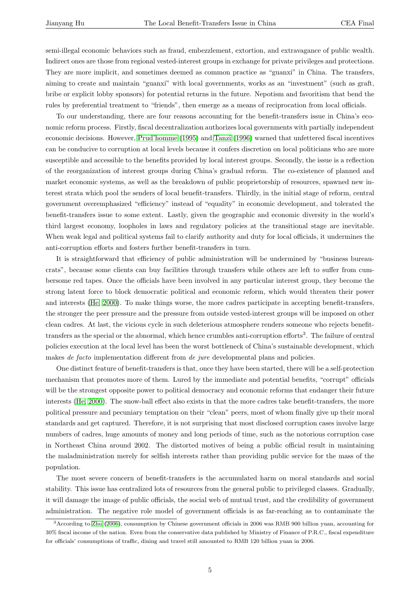semi-illegal economic behaviors such as fraud, embezzlement, extortion, and extravagance of public wealth. Indirect ones are those from regional vested-interest groups in exchange for private privileges and protections. They are more implicit, and sometimes deemed as common practice as "guanxi" in China. The transfers, aiming to create and maintain "guanxi" with local governments, works as an "investment" (such as graft, bribe or explicit lobby sponsors) for potential returns in the future. Nepotism and favoritism that bend the rules by preferential treatment to "friends", then emerge as a means of reciprocation from local officials.

To our understanding, there are four reasons accounting for the benefit-transfers issue in China's economic reform process. Firstly, fiscal decentralization authorizes local governments with partially independent economic decisions. However, Prud'homme (1995) and Tanzi (1996) warned that unfettered fiscal incentives can be conducive to corruption at local levels because it confers discretion on local politicians who are more susceptible and accessible to the benefits provided by local interest groups. Secondly, the issue is a reflection of the reorganization of inter[est groups during C](#page-14-0)hina['s gradual re](#page-14-0)form. The co-existence of planned and market economic systems, as well as the breakdown of public proprietorship of resources, spawned new interest strata which pool the senders of local benefit-transfers. Thirdly, in the initial stage of reform, central government overemphasized "efficiency" instead of "equality" in economic development, and tolerated the benefit-transfers issue to some extent. Lastly, given the geographic and economic diversity in the world's third largest economy, loopholes in laws and regulatory policies at the transitional stage are inevitable. When weak legal and political systems fail to clarify authority and duty for local officials, it undermines the anti-corruption efforts and fosters further benefit-transfers in turn.

It is straightforward that efficiency of public administration will be undermined by "business bureaucrats", because some clients can buy facilities through transfers while others are left to suffer from cumbersome red tapes. Once the officials have been involved in any particular interest group, they become the strong latent force to block democratic political and economic reform, which would threaten their power and interests (He, 2000). To make things worse, the more cadres participate in accepting benefit-transfers, the stronger the peer pressure and the pressure from outside vested-interest groups will be imposed on other clean cadres. At last, the vicious cycle in such deleterious atmosphere renders someone who rejects benefittransfers as th[e special o](#page-13-0)r the abnormal, which hence crumbles anti-corruption efforts<sup>3</sup>. The failure of central policies execution at the local level has been the worst bottleneck of China's sustainable development, which makes de facto implementation different from de jure developmental plans and policies.

One distinct feature of benefit-transfers is that, once they have been started, there will be a self-protection mechanism that promotes more of them. Lured by the immediate and potential benefits, "corrupt" officials will be the strongest opposite power to political democracy and economic reforms that endanger their future interests (He, 2000). The snow-ball effect also exists in that the more cadres take benefit-transfers, the more political pressure and pecuniary temptation on their "clean" peers, most of whom finally give up their moral standards and get captured. Therefore, it is not surprising that most disclosed corruption cases involve large numbers [of cadres,](#page-13-0) huge amounts of money and long periods of time, such as the notorious corruption case in Northeast China around 2002. The distorted motives of being a public official result in maintaining the maladministration merely for selfish interests rather than providing public service for the mass of the population.

The most severe concern of benefit-transfers is the accumulated harm on moral standards and social stability. This issue has centralized lots of resources from the general public to privileged classes. Gradually, it will damage the image of public officials, the social web of mutual trust, and the credibility of government administration. The negative role model of government officials is as far-reaching as to contaminate the

<sup>3</sup>According to Zhu (2006), consumption by Chinese government officials in 2006 was RMB 900 billion yuan, accounting for 30% fiscal income of the nation. Even from the conservative data published by Ministry of Finance of P.R.C., fiscal expenditure for officials' consumptions of traffic, dining and travel still amounted to RMB 120 billion yuan in 2006.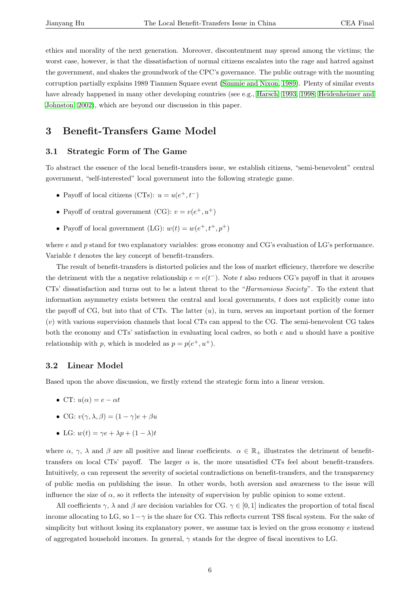ethics and morality of the next generation. Moreover, discontentment may spread among the victims; the worst case, however, is that the dissatisfaction of normal citizens escalates into the rage and hatred against the government, and shakes the groundwork of the CPC's governance. The public outrage with the mounting corruption partially explains 1989 Tianmen Square event (Simmie and Nixon, 1989). Plenty of similar events have already happened in many other developing countries (see e.g., Harsch, 1993, 1998; Heidenheimer and Johnston, 2002), which are beyond our discussion in this paper.

# 3 Benefit-Transfers Game Model

#### 3.1 Strategic Form of The Game

To abstract the essence of the local benefit-transfers issue, we establish citizens, "semi-benevolent" central government, "self-interested" local government into the following strategic game.

- Payoff of local citizens (CTs):  $u = u(e^+, t^-)$
- Payoff of central government (CG):  $v = v(e^+, u^+)$
- Payoff of local government (LG):  $w(t) = w(e^+, t^+, p^+)$

where  $e$  and  $p$  stand for two explanatory variables: gross economy and CG's evaluation of LG's performance. Variable t denotes the key concept of benefit-transfers.

The result of benefit-transfers is distorted policies and the loss of market efficiency, therefore we describe the detriment with the a negative relationship  $e = e(t^{-})$ . Note t also reduces CG's payoff in that it arouses CTs' dissatisfaction and turns out to be a latent threat to the "Harmonious Society". To the extent that information asymmetry exists between the central and local governments,  $t$  does not explicitly come into the payoff of CG, but into that of CTs. The latter  $(u)$ , in turn, serves an important portion of the former (v) with various supervision channels that local CTs can appeal to the CG. The semi-benevolent CG takes both the economy and  $CTs'$  satisfaction in evaluating local cadres, so both  $e$  and  $u$  should have a positive relationship with p, which is modeled as  $p = p(e^+, u^+)$ .

#### 3.2 Linear Model

Based upon the above discussion, we firstly extend the strategic form into a linear version.

- CT:  $u(\alpha) = e \alpha t$
- CG:  $v(\gamma, \lambda, \beta) = (1 \gamma)e + \beta u$
- LG:  $w(t) = \gamma e + \lambda p + (1 \lambda)t$

where  $\alpha$ ,  $\gamma$ ,  $\lambda$  and  $\beta$  are all positive and linear coefficients.  $\alpha \in \mathbb{R}_+$  illustrates the detriment of benefittransfers on local CTs' payoff. The larger  $\alpha$  is, the more unsatisfied CTs feel about benefit-transfers. Intuitively,  $\alpha$  can represent the severity of societal contradictions on benefit-transfers, and the transparency of public media on publishing the issue. In other words, both aversion and awareness to the issue will influence the size of  $\alpha$ , so it reflects the intensity of supervision by public opinion to some extent.

All coefficients  $\gamma$ ,  $\lambda$  and  $\beta$  are decision variables for CG.  $\gamma \in [0,1]$  indicates the proportion of total fiscal income allocating to LG, so  $1-\gamma$  is the share for CG. This reflects current TSS fiscal system. For the sake of simplicity but without losing its explanatory power, we assume tax is levied on the gross economy  $e$  instead of aggregated household incomes. In general,  $\gamma$  stands for the degree of fiscal incentives to LG.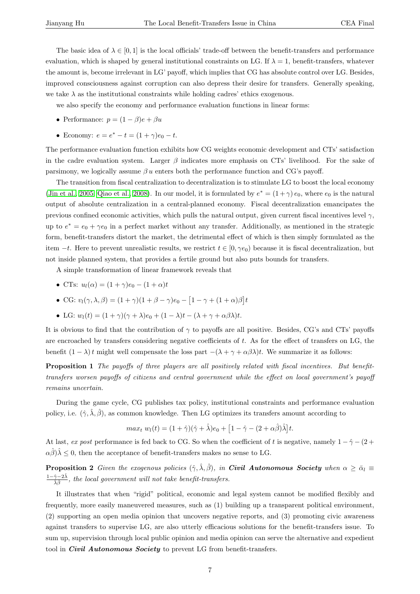<span id="page-6-0"></span>The basic idea of  $\lambda \in [0,1]$  is the local officials' trade-off between the benefit-transfers and performance evaluation, which is shaped by general institutional constraints on LG. If  $\lambda = 1$ , benefit-transfers, whatever the amount is, become irrelevant in LG' payoff, which implies that CG has absolute control over LG. Besides, improved consciousness against corruption can also depress their desire for transfers. Generally speaking, we take  $\lambda$  as the institutional constraints while holding cadres' ethics exogenous.

we also specify the economy and performance evaluation functions in linear forms:

- Performance:  $p = (1 \beta)e + \beta u$
- Economy:  $e = e^* t = (1 + \gamma)e_0 t$ .

The performance evaluation function exhibits how CG weights economic development and CTs' satisfaction in the cadre evaluation system. Larger  $\beta$  indicates more emphasis on CTs' livelihood. For the sake of parsimony, we logically assume  $\beta u$  enters both the performance function and CG's payoff.

The transition from fiscal centralization to decentralization is to stimulate LG to boost the local economy (Jin et al., 2005; Qiao et al., 2008). In our model, it is formulated by  $e^* = (1 + \gamma) e_0$ , where  $e_0$  is the natural output of absolute centralization in a central-planned economy. Fiscal decentralization emancipates the previous confined economic activities, which pulls the natural output, given current fiscal incentives level  $\gamma$ , [up to](#page-13-0)  $e^* = e_0 + \gamma e_0$  $e^* = e_0 + \gamma e_0$  $e^* = e_0 + \gamma e_0$  [in a perfect](#page-14-0) market without any transfer. Additionally, as mentioned in the strategic form, benefit-transfers distort the market, the detrimental effect of which is then simply formulated as the item  $-t$ . Here to prevent unrealistic results, we restrict  $t \in [0, \gamma e_0)$  because it is fiscal decentralization, but not inside planned system, that provides a fertile ground but also puts bounds for transfers.

A simple transformation of linear framework reveals that

- CTs:  $u_l(\alpha) = (1 + \gamma)e_0 (1 + \alpha)t$
- CG:  $v_l(\gamma, \lambda, \beta) = (1 + \gamma)(1 + \beta \gamma)e_0$ £  $1 - \gamma + (1 + \alpha)\beta$ l<br>E t
- LG:  $w_l(t) = (1+\gamma)(\gamma + \lambda)e_0 + (1-\lambda)t (\lambda + \gamma + \alpha\beta\lambda)t$ .

It is obvious to find that the contribution of  $\gamma$  to payoffs are all positive. Besides, CG's and CTs' payoffs are encroached by transfers considering negative coefficients of t. As for the effect of transfers on LG, the benefit  $(1 - \lambda)t$  might well compensate the loss part  $-(\lambda + \gamma + \alpha\beta\lambda)t$ . We summarize it as follows:

Proposition 1 The payoffs of three players are all positively related with fiscal incentives. But benefittransfers worsen payoffs of citizens and central government while the effect on local government's payoff remains uncertain.

During the game cycle, CG publishes tax policy, institutional constraints and performance evaluation policy, i.e.  $(\hat{\gamma}, \hat{\lambda}, \hat{\beta})$ , as common knowledge. Then LG optimizes its transfers amount according to

$$
max_t w_l(t) = (1+\hat{\gamma})(\hat{\gamma}+\hat{\lambda})e_0 + \left[1-\hat{\gamma}-(2+\alpha\hat{\beta})\hat{\lambda}\right]t.
$$

At last, ex post performance is fed back to CG. So when the coefficient of t is negative, namely  $1 - \hat{y} - (2 +$  $\alpha\hat{\beta}$ ) $\hat{\lambda} \leq 0$ , then the acceptance of benefit-transfers makes no sense to LG.

**Proposition 2** Given the exogenous policies  $(\hat{\gamma}, \hat{\lambda}, \hat{\beta})$ , in **Civil Autonomous Society** when  $\alpha \geq \bar{\alpha}_l$  $1-\hat{\gamma}-2\hat{\lambda}$  $\frac{\gamma-2\lambda}{\hat{\lambda}\hat{\beta}}$ , the local government will not take benefit-transfers.

It illustrates that when "rigid" political, economic and legal system cannot be modified flexibly and frequently, more easily maneuvered measures, such as (1) building up a transparent political environment, (2) supporting an open media opinion that uncovers negative reports, and (3) promoting civic awareness against transfers to supervise LG, are also utterly efficacious solutions for the benefit-transfers issue. To sum up, supervision through local public opinion and media opinion can serve the alternative and expedient tool in *Civil Autonomous Society* to prevent LG from benefit-transfers.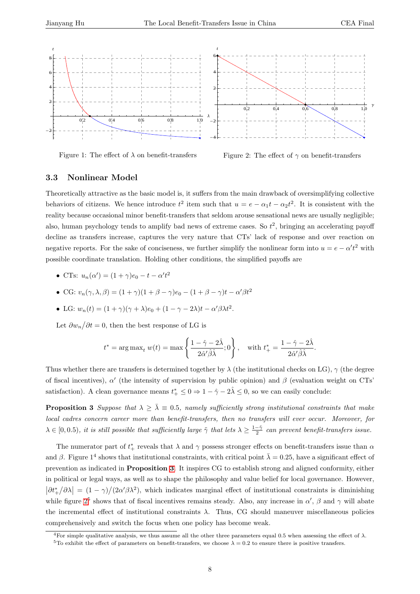<span id="page-7-0"></span>

Figure 1: The effect of  $\lambda$  on benefit-transfers

Figure 2: The effect of  $\gamma$  on benefit-transfers

#### 3.3 Nonlinear Model

Theoretically attractive as the basic model is, it suffers from the main drawback of oversimplifying collective behaviors of citizens. We hence introduce  $t^2$  item such that  $u = e - \alpha_1 t - \alpha_2 t^2$ . It is consistent with the reality because occasional minor benefit-transfers that seldom arouse sensational news are usually negligible; also, human psychology tends to amplify bad news of extreme cases. So  $t^2$ , bringing an accelerating payoff decline as transfers increase, captures the very nature that CTs' lack of response and over reaction on negative reports. For the sake of conciseness, we further simplify the nonlinear form into  $u = e - \alpha' t^2$  with possible coordinate translation. Holding other conditions, the simplified payoffs are

- CTs:  $u_n(\alpha') = (1 + \gamma)e_0 t \alpha' t^2$
- CG:  $v_n(\gamma, \lambda, \beta) = (1 + \gamma)(1 + \beta \gamma)e_0 (1 + \beta \gamma)t \alpha'\beta t^2$
- LG:  $w_n(t) = (1+\gamma)(\gamma+\lambda)e_0 + (1-\gamma-2\lambda)t \alpha'\beta\lambda t^2$ .

Let  $\partial w_n$  $\overline{f}$  $\partial t = 0$ , then the best response of LG is

$$
t^* = \arg \max_t w(t) = \max \left\{ \frac{1 - \hat{\gamma} - 2\hat{\lambda}}{2\hat{\alpha}'\hat{\beta}\hat{\lambda}}; 0 \right\}, \quad \text{with } t^*_+ = \frac{1 - \hat{\gamma} - 2\hat{\lambda}}{2\hat{\alpha}'\hat{\beta}\hat{\lambda}}.
$$

Thus whether there are transfers is determined together by  $\lambda$  (the institutional checks on LG),  $\gamma$  (the degree of fiscal incentives),  $\alpha'$  (the intensity of supervision by public opinion) and  $\beta$  (evaluation weight on CTs' satisfaction). A clean governance means  $t^*_{+} \leq 0 \Rightarrow 1 - \hat{\gamma} - 2\hat{\lambda} \leq 0$ , so we can easily conclude:

**Proposition 3** Suppose that  $\lambda \geq \overline{\lambda} \equiv 0.5$ , namely sufficiently strong institutional constraints that make local cadres concern career more than benefit-transfers, then no transfers will ever occur. Moreover, for  $\lambda \in [0, 0.5)$ , it is still possible that sufficiently large  $\tilde{\gamma}$  that lets  $\lambda \geq \frac{1-\tilde{\gamma}}{2}$  can prevent benefit-transfers issue.

The numerator part of  $t^*_+$  reveals that  $\lambda$  and  $\gamma$  possess stronger effects on benefit-transfers issue than  $\alpha$ and  $\beta$ . Figure 1<sup>4</sup> shows that institutional constraints, with critical point  $\bar{\lambda} = 0.25$ , have a significant effect of prevention as indicated in Proposition 3. It inspires CG to establish strong and aligned conformity, either in political or legal ways, as well as to shape the philosophy and value belief for local governance. However,  $\prod_{i=1}^{n}$ թ∖  $\ddot{\phantom{1}}$ ∂λ  $\vert = (1 - \gamma) / \langle$  $(2\alpha/\beta\lambda^2)$ , which indicates marginal effect of institutional constraints is diminishing while figure  $2^5$  shows that of fiscal incentives remains steady. Also, any increase in  $\alpha'$ ,  $\beta$  and  $\gamma$  will abate the incremental effect of institutional constraints  $\lambda$ . Thus, CG should maneuver miscellaneous policies comprehensively and switch the focus when one policy has become weak.

<sup>&</sup>lt;sup>4</sup>For simple qualitative analysis, we thus assume all the other three parameters equal 0.5 when assessing the effect of  $\lambda$ .

<sup>&</sup>lt;sup>5</sup>To exhibit the effect of parameters on benefit-transfers, we choose  $\lambda = 0.2$  to ensure there is positive transfers.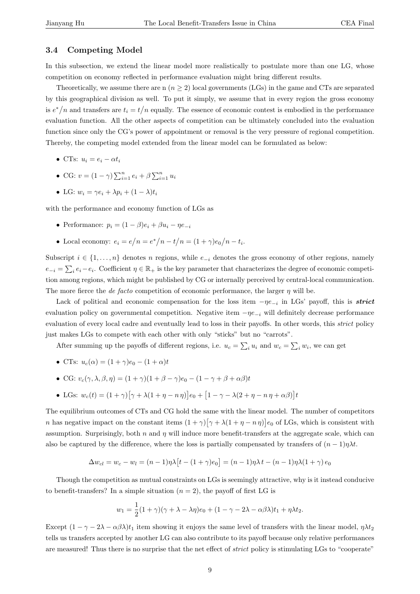#### 3.4 Competing Model

In this subsection, we extend the linear model more realistically to postulate more than one LG, whose competition on economy reflected in performance evaluation might bring different results.

Theoretically, we assume there are n  $(n \geq 2)$  local governments (LGs) in the game and CTs are separated by this geographical division as well. To put it simply, we assume that in every region the gross economy is  $e^*/n$  and transfers are  $t_i = t/n$  equally. The essence of economic contest is embodied in the performance evaluation function. All the other aspects of competition can be ultimately concluded into the evaluation function since only the CG's power of appointment or removal is the very pressure of regional competition. Thereby, the competing model extended from the linear model can be formulated as below:

- CTs:  $u_i = e_i \alpha t_i$
- CG:  $v = (1 \gamma) \sum_{i=1}^{n} e_i + \beta \sum_{i=1}^{n} u_i$
- LG:  $w_i = \gamma e_i + \lambda p_i + (1 \lambda)t_i$

with the performance and economy function of LGs as

- Performance:  $p_i = (1 \beta)e_i + \beta u_i \eta e_{-i}$
- Local economy:  $e_i = e$  $\overline{1}$  $n = e^*/$  $n - t$  $\overline{1}$  $n = (1 + \gamma)e_0$  $\overline{1}$  $n-t_i$ .

Subscript  $i \in \{1, \ldots, n\}$  denotes n regions, while  $e_{-i}$  denotes the gross economy of other regions, namely  $e_{-i} = \sum$  $i \in e_i - e_i$ . Coefficient  $\eta \in \mathbb{R}_+$  is the key parameter that characterizes the degree of economic competition among regions, which might be published by CG or internally perceived by central-local communication. The more fierce the *de facto* competition of economic performance, the larger  $\eta$  will be.

Lack of political and economic compensation for the loss item  $-\eta e_{-i}$  in LGs' payoff, this is *strict* evaluation policy on governmental competition. Negative item  $-\eta e_{-i}$  will definitely decrease performance evaluation of every local cadre and eventually lead to loss in their payoffs. In other words, this strict policy just makes LGs to compete with each other with only "sticks" but no "carrots".

After summing up the payoffs of different regions, i.e.  $u_c = \sum$  $u_i$  and  $w_c = \sum_i w_i$ , we can get

• CTs: 
$$
u_c(\alpha) = (1 + \gamma)e_0 - (1 + \alpha)t
$$

- CG:  $v_c(\gamma, \lambda, \beta, \eta) = (1 + \gamma)(1 + \beta \gamma)e_0 (1 \gamma + \beta + \alpha \beta)t$
- LGs:  $w_c(t) = (1 + \gamma)$ £  $\gamma + \lambda(1 + \eta - n\eta)$ ¤  $e_0 +$ £  $1 - \gamma - \lambda(2 + \eta - n\eta + \alpha\beta)$ ¤ t

The equilibrium outcomes of CTs and CG hold the same with the linear model. The number of competitors n has negative impact on the constant items  $(1 + \gamma)$  $\frac{1}{2}$  $\gamma + \lambda(1 + \eta - n\eta)$ .<br>T  $e_0$  of LGs, which is consistent with assumption. Surprisingly, both  $n$  and  $\eta$  will induce more benefit-transfers at the aggregate scale, which can also be captured by the difference, where the loss is partially compensated by transfers of  $(n-1)\eta\lambda t$ .

$$
\Delta w_{cl} = w_c - w_l = (n-1)\eta \lambda [t - (1+\gamma)e_0] = (n-1)\eta \lambda t - (n-1)\eta \lambda (1+\gamma)e_0
$$

Though the competition as mutual constraints on LGs is seemingly attractive, why is it instead conducive to benefit-transfers? In a simple situation  $(n = 2)$ , the payoff of first LG is

$$
w_1 = \frac{1}{2}(1+\gamma)(\gamma + \lambda - \lambda \eta)e_0 + (1-\gamma - 2\lambda - \alpha \beta \lambda)t_1 + \eta \lambda t_2.
$$

Except  $(1 - \gamma - 2\lambda - \alpha\beta\lambda)t_1$  item showing it enjoys the same level of transfers with the linear model,  $\eta\lambda t_2$ tells us transfers accepted by another LG can also contribute to its payoff because only relative performances are measured! Thus there is no surprise that the net effect of strict policy is stimulating LGs to "cooperate"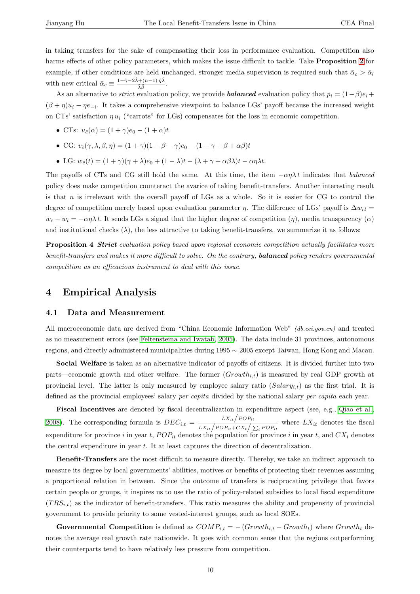<span id="page-9-0"></span>in taking transfers for the sake of compensating their loss in performance evaluation. Competition also harms effects of other policy parameters, which makes the issue difficult to tackle. Take **Proposition 2** for example, if other conditions are held unchanged, stronger media supervision is required such that  $\bar{\alpha}_c > \bar{\alpha}_l$ with new critical  $\bar{\alpha}_c \equiv \frac{1-\hat{\gamma}-2\hat{\lambda}+(n-1)\hat{\eta}\hat{\lambda}}{\hat{\gamma}^2}$  $\frac{1 + (n-1)\eta\lambda}{\hat{\lambda}\hat{\beta}}$ .

As an alternative to *strict* evaluation policy, we provide **balanced** evaluation policy that  $p_i = (1 - \beta)e_i + \beta e_i$  $p_i = (1 - \beta)e_i + \beta e_i$  $p_i = (1 - \beta)e_i + \beta e_i$  $(\beta + \eta)u_i - \eta e_{-i}$ . It takes a comprehensive viewpoint to balance LGs' payoff because the increased weight on CTs' satisfaction  $\eta u_i$  ("carrots" for LGs) compensates for the loss in economic competition.

- CTs:  $u_{\tilde{c}}(\alpha) = (1 + \gamma)e_0 (1 + \alpha)t$
- CG:  $v_{\tilde{c}}(\gamma, \lambda, \beta, \eta) = (1 + \gamma)(1 + \beta \gamma)e_0 (1 \gamma + \beta + \alpha\beta)t$
- LG:  $w_{\tilde{c}}(t) = (1 + \gamma)(\gamma + \lambda)e_0 + (1 \lambda)t (\lambda + \gamma + \alpha\beta\lambda)t \alpha\eta\lambda t$ .

The payoffs of CTs and CG still hold the same. At this time, the item  $-\alpha \eta \lambda t$  indicates that balanced policy does make competition counteract the avarice of taking benefit-transfers. Another interesting result is that  $n$  is irrelevant with the overall payoff of LGs as a whole. So it is easier for CG to control the degree of competition merely based upon evaluation parameter  $\eta$ . The difference of LGs' payoff is  $\Delta w_{\tilde{c}l} =$  $w_{\tilde{c}} - w_l = -\alpha \eta \lambda t$ . It sends LGs a signal that the higher degree of competition  $(\eta)$ , media transparency  $(\alpha)$ and institutional checks  $(\lambda)$ , the less attractive to taking benefit-transfers. we summarize it as follows:

**Proposition 4 Strict** evaluation policy based upon regional economic competition actually facilitates more benefit-transfers and makes it more difficult to solve. On the contrary, **balanced** policy renders governmental competition as an efficacious instrument to deal with this issue.

### 4 Empirical Analysis

#### 4.1 Data and Measurement

All macroeconomic data are derived from "China Economic Information Web" *(db.cei.gov.cn)* and treated as no measurement errors (see Feltensteina and Iwatab, 2005). The data include 31 provinces, autonomous regions, and directly administered municipalities during 1995 ∼ 2005 except Taiwan, Hong Kong and Macau.

Social Welfare is taken as an alternative indicator of payoffs of citizens. It is divided further into two parts—economic growth and [other welfare. The forme](#page-13-0)r  $(Growth_{i,t})$  $(Growth_{i,t})$  $(Growth_{i,t})$  is measured by real GDP growth at provincial level. The latter is only measured by employee salary ratio  $(Salary_{i,t})$  as the first trial. It is defined as the provincial employees' salary *per capita* divided by the national salary *per capita* each year.

Fiscal Incentives are denoted by fiscal decentralization in expenditure aspect (see, e.g., Qiao et al., **FISCAI INCENTIVES** are denoted by fiscal decentralization in expenditure aspect (see, e.g., Qiao et al., 2008). The corresponding formula is  $DEC_{i,t} = \frac{LX_{it}/POP_{it}}{LX_{it}/POP_{it} + CX_{t}/\sum_{i} POP_{it}}$  where  $LX_{it}$  denotes the fiscal expenditure for province i in year t,  $POP_{it}$  denotes the population for province i in year t, and  $CX_t$  denotes the central expenditure in year t. It at least captures the direction of decentralization.

[B](#page-14-0)enefit-Transfers are the most difficult to measure directly. Thereby, we take an indirect approach to measure its degree by local governments' abilities, motives or benefits of protecting their revenues assuming a proportional relation in between. Since the outcome of transfers is reciprocating privilege that favors certain people or groups, it inspires us to use the ratio of policy-related subsidies to local fiscal expenditure  $(TRS_{i,t})$  as the indicator of benefit-transfers. This ratio measures the ability and propensity of provincial government to provide priority to some vested-interest groups, such as local SOEs.

Governmental Competition is defined as  $COMP_{i,t} = -(Growth_{i,t} - Growth_t)$  where  $Growth_t$  denotes the average real growth rate nationwide. It goes with common sense that the regions outperforming their counterparts tend to have relatively less pressure from competition.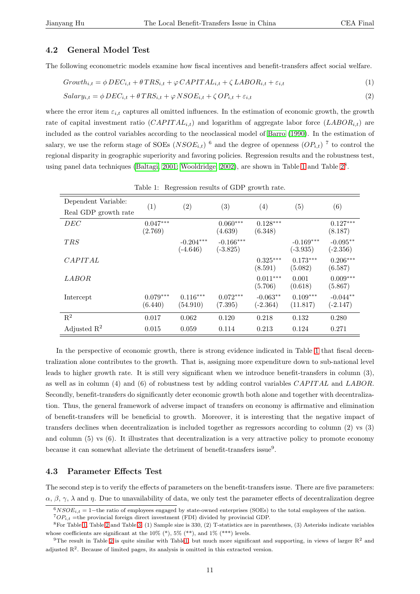#### 4.2 General Model Test

The following econometric models examine how fiscal incentives and benefit-transfers affect social welfare.

$$
Growth_{i,t} = \phi DEC_{i,t} + \theta TRS_{i,t} + \varphi CAPITAL_{i,t} + \zeta LABOR_{i,t} + \varepsilon_{i,t}
$$
\n
$$
\tag{1}
$$

$$
Salary_{i,t} = \phi \, DEC_{i,t} + \theta \, TRS_{i,t} + \varphi \, NSOE_{i,t} + \zeta \, OP_{i,t} + \varepsilon_{i,t} \tag{2}
$$

where the error item  $\varepsilon_{i,t}$  captures all omitted influences. In the estimation of economic growth, the growth rate of capital investment ratio  $(CAPITAL_{i,t})$  and logarithm of aggregate labor force  $(LABOR_{i,t})$  are included as the control variables according to the neoclassical model of Barro (1990). In the estimation of salary, we use the reform stage of SOEs  $(NSOE_{i,t})$ <sup>6</sup> and the degree of openness  $OP_{i,t}$ )<sup>7</sup> to control the regional disparity in geographic superiority and favoring policies. Regression results and the robustness test, using panel data techniques (Baltagi, 2001; Wooldridge, 2002), are sho[wn in Table](#page-12-0) 1 and Table  $2^8$ .

| Dependent Variable:     |                       |                           |                           |                          |                           |                          |
|-------------------------|-----------------------|---------------------------|---------------------------|--------------------------|---------------------------|--------------------------|
| Real GDP growth rate    | (1)                   | $\left( 2\right)$         | (3)                       | (4)                      | (5)                       | (6)                      |
| DEC                     | $0.047***$<br>(2.769) |                           | $0.060***$<br>(4.639)     | $0.128***$<br>(6.348)    |                           | $0.127***$<br>(8.187)    |
| <b>TRS</b>              |                       | $-0.204***$<br>$(-4.646)$ | $-0.166***$<br>$(-3.825)$ |                          | $-0.169***$<br>$(-3.935)$ | $-0.095**$<br>$(-2.356)$ |
| CAPITAL                 |                       |                           |                           | $0.325***$<br>(8.591)    | $0.173***$<br>(5.082)     | $0.206***$<br>(6.587)    |
| <i>LABOR</i>            |                       |                           |                           | $0.011***$<br>(5.706)    | 0.001<br>(0.618)          | $0.009***$<br>(5.867)    |
| Intercept               | $0.079***$<br>(6.440) | $0.116***$<br>(54.910)    | $0.072***$<br>(7.395)     | $-0.063**$<br>$(-2.364)$ | $0.109***$<br>(11.817)    | $-0.044**$<br>$(-2.147)$ |
| $\mathbf{R}^2$          | 0.017                 | 0.062                     | 0.120                     | 0.218                    | 0.132                     | 0.280                    |
| Adjusted $\mathbb{R}^2$ | 0.015                 | 0.059                     | 0.114                     | 0.213                    | 0.124                     | 0.271                    |

Table 1: Regression results of GDP growth rate.

In the perspective of economic growth, there is strong evidence indicated in Table 1 that fiscal decentralization alone contributes to the growth. That is, assigning more expenditure down to sub-national level leads to higher growth rate. It is still very significant when we introduce benefit-transfers in column (3), as well as in column (4) and (6) of robustness test by adding control variables  $CAPITAL$  and  $LABOR$ . Secondly, benefit-transfers do significantly deter economic growth both alone and together with decentralization. Thus, the general framework of adverse impact of transfers on economy is affirmative and elimination of benefit-transfers will be beneficial to growth. Moreover, it is interesting that the negative impact of transfers declines when decentralization is included together as regressors according to column (2) vs (3) and column (5) vs (6). It illustrates that decentralization is a very attractive policy to promote economy because it can somewhat alleviate the detriment of benefit-transfers issue<sup>9</sup>.

#### 4.3 Parameter Effects Test

The second step is to verify the effects of parameters on the benefit-transfers issue. There are five parameters:  $\alpha$ ,  $\beta$ ,  $\gamma$ ,  $\lambda$  and  $\eta$ . Due to unavailability of data, we only test the parameter effects of decentralization degree

 $6NSOE_{i,t} = 1$  – the ratio of employees engaged by state-owned enterprises (SOEs) to the total employees of the nation.

 ${}^{7}OP_{i,t}$  =the provincial foreign direct investment (FDI) divided by provincial GDP.

 ${}^{8}$  For Table 1, Table 2 and Table 3, (1) Sample size is 330, (2) T-statistics are in parentheses, (3) Asterisks indicate variables whose coefficients are significant at the  $10\%$  (\*),  $5\%$  (\*\*), and  $1\%$  (\*\*\*) levels.

<sup>&</sup>lt;sup>9</sup>The result in Table 2 is quite similar with Table1, but much more significant and supporting, in views of larger  $R<sup>2</sup>$  and adjusted  $\mathbb{R}^2$ . Because of limited pages, its analysis is omitted in this extracted version.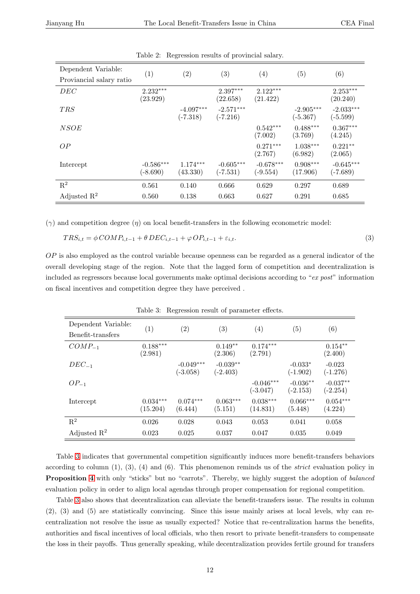<span id="page-11-0"></span>

| Dependent Variable:      |                           | (2)                       | (3)                       | $\left( 4\right)$         | (5)                       |                           |
|--------------------------|---------------------------|---------------------------|---------------------------|---------------------------|---------------------------|---------------------------|
| Proviancial salary ratio | (1)                       |                           |                           |                           |                           | (6)                       |
| DEC                      | $2.232***$<br>(23.929)    |                           | $2.397***$<br>(22.658)    | $2.122***$<br>(21.422)    |                           | $2.253***$<br>(20.240)    |
| T R.S                    |                           | $-4.097***$<br>$(-7.318)$ | $-2.571***$<br>$(-7.216)$ |                           | $-2.905***$<br>$(-5.367)$ | $-2.033***$<br>$(-5.599)$ |
| <i>NSOE</i>              |                           |                           |                           | $0.542***$<br>(7.002)     | $0.488***$<br>(3.769)     | $0.367***$<br>(4.245)     |
| OP                       |                           |                           |                           | $0.271***$<br>(2.767)     | $1.038***$<br>(6.982)     | $0.221**$<br>(2.065)      |
| Intercept                | $-0.586***$<br>$(-8.690)$ | $1.174***$<br>(43.330)    | $-0.605***$<br>$(-7.531)$ | $-0.678***$<br>$(-9.554)$ | $0.908***$<br>(17.906)    | $-0.645***$<br>$(-7.689)$ |
| $\mathbf{R}^2$           | 0.561                     | 0.140                     | 0.666                     | 0.629                     | 0.297                     | 0.689                     |
| Adjusted $\mathbb{R}^2$  | 0.560                     | 0.138                     | 0.663                     | 0.627                     | 0.291                     | 0.685                     |

Table 2: Regression results of provincial salary.

 $(\gamma)$  and competition degree  $(\eta)$  on local benefit-transfers in the following econometric model:

$$
TRS_{i,t} = \phi COMP_{i,t-1} + \theta DEC_{i,t-1} + \varphi OP_{i,t-1} + \varepsilon_{i,t}.
$$
\n
$$
(3)
$$

 $OP$  is also employed as the control variable because openness can be regarded as a general indicator of the overall developing stage of the region. Note that the lagged form of competition and decentralization is included as regressors because local governments make optimal decisions according to "ex post" information on fiscal incentives and competition degree they have perceived .

| Dependent Variable:     |                        | $\left( 2\right)$         | $\left( 3\right)$        | (4)                       | $\left( 5\right)$        | (6)                      |
|-------------------------|------------------------|---------------------------|--------------------------|---------------------------|--------------------------|--------------------------|
| Benefit-transfers       | (1)                    |                           |                          |                           |                          |                          |
| $COMP_{-1}$             | $0.188***$<br>(2.981)  |                           | $0.149**$<br>(2.306)     | $0.174***$<br>(2.791)     |                          | $0.154**$<br>(2.400)     |
| $DEC_{-1}$              |                        | $-0.049***$<br>$(-3.058)$ | $-0.039**$<br>$(-2.403)$ |                           | $-0.033*$<br>$(-1.902)$  | $-0.023$<br>$(-1.276)$   |
| $OP_{-1}$               |                        |                           |                          | $-0.046***$<br>$(-3.047)$ | $-0.036**$<br>$(-2.153)$ | $-0.037**$<br>$(-2.254)$ |
| Intercept               | $0.034***$<br>(15.204) | $0.074***$<br>(6.444)     | $0.063***$<br>(5.151)    | $0.038***$<br>(14.831)    | $0.066***$<br>(5.448)    | $0.054***$<br>(4.224)    |
| $\mathbf{R}^2$          | 0.026                  | 0.028                     | 0.043                    | 0.053                     | 0.041                    | 0.058                    |
| Adjusted $\mathbb{R}^2$ | 0.023                  | 0.025                     | 0.037                    | 0.047                     | 0.035                    | 0.049                    |

Table 3: Regression result of parameter effects.

Table 3 indicates that governmental competition significantly induces more benefit-transfers behaviors according to column  $(1)$ ,  $(3)$ ,  $(4)$  and  $(6)$ . This phenomenon reminds us of the *strict* evaluation policy in **Proposition 4** with only "sticks" but no "carrots". Thereby, we highly suggest the adoption of balanced evaluation policy in order to align local agendas through proper compensation for regional competition.

Table 3 also shows that decentralization can alleviate the benefit-transfers issue. The results in column (2), (3) and [\(5\)](#page-9-0) are statistically convincing. Since this issue mainly arises at local levels, why can recentralization not resolve the issue as usually expected? Notice that re-centralization harms the benefits, authorities and fiscal incentives of local officials, who then resort to private benefit-transfers to compensate the loss in their payoffs. Thus generally speaking, while decentralization provides fertile ground for transfers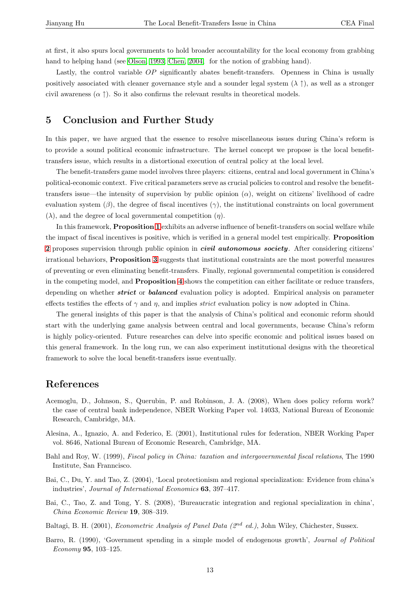<span id="page-12-0"></span>at first, it also spurs local governments to hold broader accountability for the local economy from grabbing hand to helping hand (see Olson, 1993; Chen, 2004, for the notion of grabbing hand).

Lastly, the control variable OP significantly abates benefit-transfers. Openness in China is usually positively associated with cleaner governance style and a sounder legal system  $(\lambda \uparrow)$ , as well as a stronger civil awareness  $(\alpha \uparrow)$ . So i[t also confirm](#page-14-0)[s the](#page-13-0) [relevan](#page-13-0)t results in theoretical models.

## 5 Conclusion and Further Study

In this paper, we have argued that the essence to resolve miscellaneous issues during China's reform is to provide a sound political economic infrastructure. The kernel concept we propose is the local benefittransfers issue, which results in a distortional execution of central policy at the local level.

The benefit-transfers game model involves three players: citizens, central and local government in China's political-economic context. Five critical parameters serve as crucial policies to control and resolve the benefittransfers issue—the intensity of supervision by public opinion  $(\alpha)$ , weight on citizens' livelihood of cadre evaluation system  $(\beta)$ , the degree of fiscal incentives  $(\gamma)$ , the institutional constraints on local government  $(\lambda)$ , and the degree of local governmental competition  $(\eta)$ .

In this framework, **Proposition 1** exhibits an adverse influence of benefit-transfers on social welfare while the impact of fiscal incentives is positive, which is verified in a general model test empirically. Proposition 2 proposes supervision through public opinion in *civil autonomous society*. After considering citizens' irrational behaviors, Proposition [3](#page-6-0) suggests that institutional constraints are the most powerful measures of preventing or even eliminating benefit-transfers. Finally, regional governmental competition is considered [in](#page-6-0) the competing model, and Proposition 4 shows the competition can either facilitate or reduce transfers, depending on whether *strict* or *b[ala](#page-7-0)nced* evaluation policy is adopted. Empirical analysis on parameter effects testifies the effects of  $\gamma$  and  $\eta$ , and implies *strict* evaluation policy is now adopted in China.

The general insights of this paper is th[at](#page-9-0) the analysis of China's political and economic reform should start with the underlying game analysis between central and local governments, because China's reform is highly policy-oriented. Future researches can delve into specific economic and political issues based on this general framework. In the long run, we can also experiment institutional designs with the theoretical framework to solve the local benefit-transfers issue eventually.

### References

- Acemoglu, D., Johnson, S., Querubin, P. and Robinson, J. A. (2008), When does policy reform work? the case of central bank independence, NBER Working Paper vol. 14033, National Bureau of Economic Research, Cambridge, MA.
- Alesina, A., Ignazio, A. and Federico, E. (2001), Institutional rules for federation, NBER Working Paper vol. 8646, National Bureau of Economic Research, Cambridge, MA.
- Bahl and Roy, W. (1999), *Fiscal policy in China: taxation and intergovernmental fiscal relations*, The 1990 Institute, San Franncisco.
- Bai, C., Du, Y. and Tao, Z. (2004), 'Local protectionism and regional specialization: Evidence from china's industries', Journal of International Economics 63, 397–417.
- Bai, C., Tao, Z. and Tong, Y. S. (2008), 'Bureaucratic integration and regional specialization in china', China Economic Review 19, 308–319.
- Baltagi, B. H. (2001), *Econometric Analysis of Panel Data (2<sup>nd</sup> ed.)*, John Wiley, Chichester, Sussex.
- Barro, R. (1990), 'Government spending in a simple model of endogenous growth', Journal of Political Economy 95, 103–125.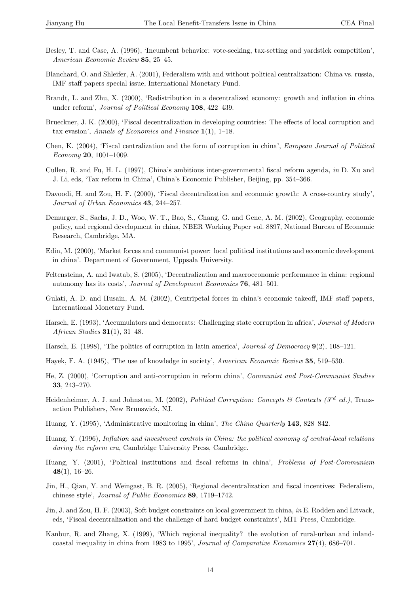- <span id="page-13-0"></span>Besley, T. and Case, A. (1996), 'Incumbent behavior: vote-seeking, tax-setting and yardstick competition', American Economic Review 85, 25–45.
- Blanchard, O. and Shleifer, A. (2001), Federalism with and without political centralization: China vs. russia, IMF staff papers special issue, International Monetary Fund.
- Brandt, L. and Zhu, X. (2000), 'Redistribution in a decentralized economy: growth and inflation in china under reform', Journal of Political Economy 108, 422–439.
- Brueckner, J. K. (2000), 'Fiscal decentralization in developing countries: The effects of local corruption and tax evasion', Annals of Economics and Finance  $1(1)$ , 1–18.
- Chen, K. (2004), 'Fiscal centralization and the form of corruption in china', European Journal of Political Economy 20, 1001–1009.
- Cullen, R. and Fu, H. L. (1997), China's ambitious inter-governmental fiscal reform agenda, in D. Xu and J. Li, eds, 'Tax reform in China', China's Economic Publisher, Beijing, pp. 354–366.
- Davoodi, H. and Zou, H. F. (2000), 'Fiscal decentralization and economic growth: A cross-country study', Journal of Urban Economics 43, 244–257.
- Demurger, S., Sachs, J. D., Woo, W. T., Bao, S., Chang, G. and Gene, A. M. (2002), Geography, economic policy, and regional development in china, NBER Working Paper vol. 8897, National Bureau of Economic Research, Cambridge, MA.
- Edin, M. (2000), 'Market forces and communist power: local political institutions and economic development in china'. Department of Government, Uppsala University.
- Feltensteina, A. and Iwatab, S. (2005), 'Decentralization and macroeconomic performance in china: regional autonomy has its costs', Journal of Development Economics 76, 481–501.
- Gulati, A. D. and Husain, A. M. (2002), Centripetal forces in china's economic takeoff, IMF staff papers, International Monetary Fund.
- Harsch, E. (1993), 'Accumulators and democrats: Challenging state corruption in africa', Journal of Modern African Studies  $31(1)$ , 31–48.
- Harsch, E. (1998), 'The politics of corruption in latin america', *Journal of Democracy* 9(2), 108–121.
- Hayek, F. A. (1945), 'The use of knowledge in society', American Economic Review 35, 519–530.
- He, Z. (2000), 'Corruption and anti-corruption in reform china', Communist and Post-Communist Studies 33, 243–270.
- Heidenheimer, A. J. and Johnston, M. (2002), *Political Corruption: Concepts & Contexts (3<sup>rd</sup> ed.)*, Transaction Publishers, New Brunswick, NJ.
- Huang, Y. (1995), 'Administrative monitoring in china', The China Quarterly 143, 828–842.
- Huang, Y. (1996), Inflation and investment controls in China: the political economy of central-local relations during the reform era, Cambridge University Press, Cambridge.
- Huang, Y. (2001), 'Political institutions and fiscal reforms in china', Problems of Post-Communism  $48(1), 16-26.$
- Jin, H., Qian, Y. and Weingast, B. R. (2005), 'Regional decentralization and fiscal incentives: Federalism, chinese style', Journal of Public Economics 89, 1719–1742.
- Jin, J. and Zou, H. F. (2003), Soft budget constraints on local government in china, in E. Rodden and Litvack, eds, 'Fiscal decentralization and the challenge of hard budget constraints', MIT Press, Cambridge.
- Kanbur, R. and Zhang, X. (1999), 'Which regional inequality? the evolution of rural-urban and inlandcoastal inequality in china from 1983 to 1995', Journal of Comparative Economics 27(4), 686–701.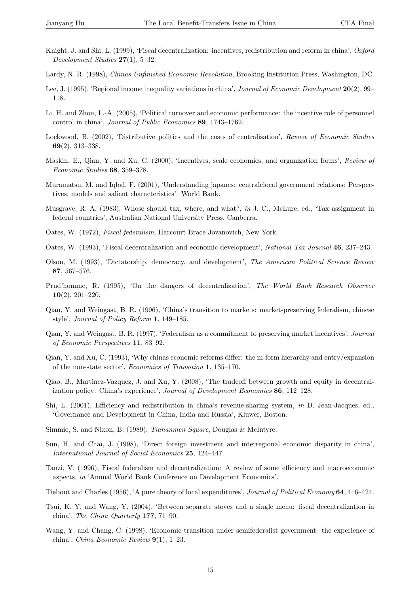- <span id="page-14-0"></span>Knight, J. and Shi, L. (1999), 'Fiscal decentralization: incentives, redistribution and reform in china', Oxford Development Studies 27(1), 5–32.
- Lardy, N. R. (1998), Chinas Unfinished Economic Revolution, Brooking Institution Press, Washington, DC.
- Lee, J. (1995), 'Regional income inequality variations in china', Journal of Economic Development 20(2), 99– 118.
- Li, H. and Zhou, L.-A. (2005), 'Political turnover and economic performance: the incentive role of personnel control in china', Journal of Public Economics 89, 1743–1762.
- Lockwood, B. (2002), 'Distributive politics and the costs of centralisation', Review of Economic Studies 69(2), 313–338.
- Maskin, E., Qian, Y. and Xu, C. (2000), 'Incentives, scale economies, and organization forms', Review of Economic Studies 68, 359–378.
- Muramatsu, M. and Iqbal, F. (2001), 'Understanding japanese centralclocal government relations: Perspectives, models and salient characteristics'. World Bank.
- Musgrave, R. A. (1983), Whose should tax, where, and what?, in J. C., McLure, ed., 'Tax assignment in federal countries', Australian National University Press, Canberra.
- Oates, W. (1972), Fiscal federalism, Harcourt Brace Jovanovich, New York.
- Oates, W. (1993), 'Fiscal decentralization and economic development', National Tax Journal 46, 237–243.
- Olson, M. (1993), 'Dictatorship, democracy, and development', The American Political Science Review 87, 567–576.
- Prud'homme, R. (1995), 'On the dangers of decentralization', The World Bank Research Observer 10(2), 201–220.
- Qian, Y. and Weingast, B. R. (1996), 'China's transition to markets: market-preserving federalism, chinese style', Journal of Policy Reform 1, 149–185.
- Qian, Y. and Weingast, B. R. (1997), 'Federalism as a commitment to preserving market incentives', Journal of Economic Perspectives 11, 83–92.
- Qian, Y. and Xu, C. (1993), 'Why chinas economic reforms differ: the m-form hierarchy and entry/expansion of the non-state sector', Economics of Transition 1, 135–170.
- Qiao, B., Martinez-Vazquez, J. and Xu, Y. (2008), 'The tradeoff between growth and equity in decentralization policy: China's experience', Journal of Development Economics 86, 112–128.
- Shi, L. (2001), Efficiency and redistribution in china's revenue-sharing system, in D. Jean-Jacques, ed., 'Governance and Development in China, India and Russia', Kluwer, Boston.
- Simmie, S. and Nixon, B. (1989), Tiananmen Square, Douglas & McIntyre.
- Sun, H. and Chai, J. (1998), 'Direct foreign investment and interregional economic disparity in china', International Journal of Social Economics 25, 424–447.
- Tanzi, V. (1996), Fiscal federalism and decentralization: A review of some efficiency and macroeconomic aspects, in 'Annual World Bank Conference on Development Economics'.

Tiebout and Charles (1956), 'A pure theory of local expenditures', Journal of Political Economy 64, 416–424.

- Tsui, K. Y. and Wang, Y. (2004), 'Between separate stoves and a single menu: fiscal decentralization in china', The China Quarterly 177, 71–90.
- Wang, Y. and Chang, C. (1998), 'Economic transition under semifederalist government: the experience of china', China Economic Review 9(1), 1–23.